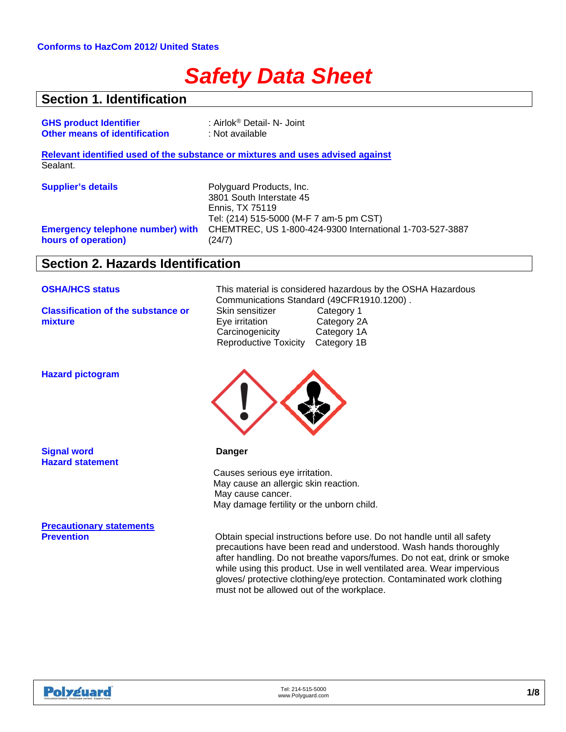# *Safety Data Sheet*

### **Section 1. Identification**

| <b>GHS product Identifier</b>                                  | : Airlok <sup>®</sup> Detail- N- Joint                                         |
|----------------------------------------------------------------|--------------------------------------------------------------------------------|
| <b>Other means of identification</b>                           | : Not available                                                                |
|                                                                | Relevant identified used of the substance or mixtures and uses advised against |
| Sealant.                                                       |                                                                                |
| <b>Supplier's details</b>                                      | Polyguard Products, Inc.                                                       |
|                                                                | 3801 South Interstate 45                                                       |
|                                                                | Ennis, TX 75119                                                                |
|                                                                | Tel: (214) 515-5000 (M-F 7 am-5 pm CST)                                        |
| <b>Emergency telephone number) with</b><br>hours of operation) | CHEMTREC, US 1-800-424-9300 International 1-703-527-3887<br>(24/7)             |

### **Section 2. Hazards Identification**

**Classification of the substance or mixture**

**OSHA/HCS status** This material is considered hazardous by the OSHA Hazardous Communications Standard (49CFR1910.1200).<br>Skin sensitizer Category 1 Skin sensitizer Category 1<br>
Eye irritation Category 2A Eye irritation Category 2A<br>Carcinogenicity Category 1A Carcinogenicity Reproductive Toxicity Category 1B



**Obtain special instructions before use. Do not handle until all safety** precautions have been read and understood. Wash hands thoroughly after handling. Do not breathe vapors/fumes. Do not eat, drink or smoke while using this product. Use in well ventilated area. Wear impervious gloves/ protective clothing/eye protection. Contaminated work clothing must not be allowed out of the workplace.

| Innovation | <b>CASH</b> | <b>Expect more:</b> |
|------------|-------------|---------------------|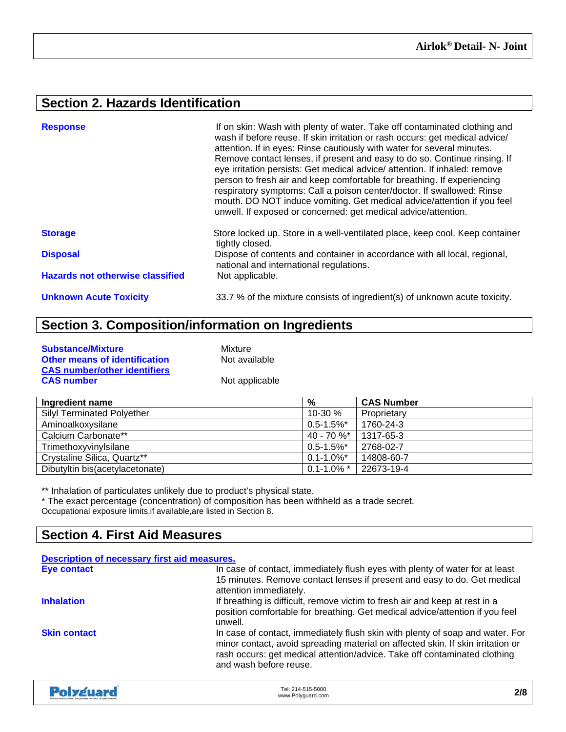### **Section 2. Hazards Identification**

| <b>Response</b>                         | If on skin: Wash with plenty of water. Take off contaminated clothing and<br>wash if before reuse. If skin irritation or rash occurs: get medical advice/<br>attention. If in eyes: Rinse cautiously with water for several minutes.<br>Remove contact lenses, if present and easy to do so. Continue rinsing. If<br>eye irritation persists: Get medical advice/ attention. If inhaled: remove<br>person to fresh air and keep comfortable for breathing. If experiencing<br>respiratory symptoms: Call a poison center/doctor. If swallowed: Rinse<br>mouth. DO NOT induce vomiting. Get medical advice/attention if you feel<br>unwell. If exposed or concerned: get medical advice/attention. |
|-----------------------------------------|---------------------------------------------------------------------------------------------------------------------------------------------------------------------------------------------------------------------------------------------------------------------------------------------------------------------------------------------------------------------------------------------------------------------------------------------------------------------------------------------------------------------------------------------------------------------------------------------------------------------------------------------------------------------------------------------------|
| <b>Storage</b>                          | Store locked up. Store in a well-ventilated place, keep cool. Keep container<br>tightly closed.                                                                                                                                                                                                                                                                                                                                                                                                                                                                                                                                                                                                   |
| <b>Disposal</b>                         | Dispose of contents and container in accordance with all local, regional,<br>national and international regulations.                                                                                                                                                                                                                                                                                                                                                                                                                                                                                                                                                                              |
| <b>Hazards not otherwise classified</b> | Not applicable.                                                                                                                                                                                                                                                                                                                                                                                                                                                                                                                                                                                                                                                                                   |
| <b>Unknown Acute Toxicity</b>           | 33.7 % of the mixture consists of ingredient(s) of unknown acute toxicity.                                                                                                                                                                                                                                                                                                                                                                                                                                                                                                                                                                                                                        |

## **Section 3. Composition/information on Ingredients**

| <b>Substance/Mixture</b>             |  |  |
|--------------------------------------|--|--|
| <b>Other means of identification</b> |  |  |
| <b>CAS number/other identifiers</b>  |  |  |
| <b>CAS number</b>                    |  |  |

**Mixture Not available** 

**Not applicable** 

| Ingredient name                   | %                          | <b>CAS Number</b> |
|-----------------------------------|----------------------------|-------------------|
| <b>Silyl Terminated Polyether</b> | 10-30 %                    | Proprietary       |
| Aminoalkoxysilane                 | $0.5 - 1.5\%$ *            | 1760-24-3         |
| Calcium Carbonate**               | 40 - 70 %*                 | 1317-65-3         |
| Trimethoxyvinylsilane             | $0.5 - 1.5\%$ *            | 2768-02-7         |
| Crystaline Silica, Quartz**       | $0.1 - 1.0\%$ <sup>*</sup> | 14808-60-7        |
| Dibutyltin bis(acetylacetonate)   | $0.1 - 1.0\%$ *            | 22673-19-4        |

\*\* Inhalation of particulates unlikely due to product's physical state.

\* The exact percentage (concentration) of composition has been withheld as a trade secret. Occupational exposure limits,if available,are listed in Section 8.

### **Section 4. First Aid Measures**

| Description of necessary first aid measures. |                                                                                                                                                                                                                                                                         |
|----------------------------------------------|-------------------------------------------------------------------------------------------------------------------------------------------------------------------------------------------------------------------------------------------------------------------------|
| <b>Eye contact</b>                           | In case of contact, immediately flush eyes with plenty of water for at least<br>15 minutes. Remove contact lenses if present and easy to do. Get medical<br>attention immediately.                                                                                      |
| <b>Inhalation</b>                            | If breathing is difficult, remove victim to fresh air and keep at rest in a<br>position comfortable for breathing. Get medical advice/attention if you feel<br>unwell.                                                                                                  |
| <b>Skin contact</b>                          | In case of contact, immediately flush skin with plenty of soap and water. For<br>minor contact, avoid spreading material on affected skin. If skin irritation or<br>rash occurs: get medical attention/advice. Take off contaminated clothing<br>and wash before reuse. |
|                                              |                                                                                                                                                                                                                                                                         |

| Polyguard<br>Innovation based. Employee owned. Expect more. | Tel: 214-515-5000<br>www.Polyguard.com | 2/8 |
|-------------------------------------------------------------|----------------------------------------|-----|
|                                                             |                                        |     |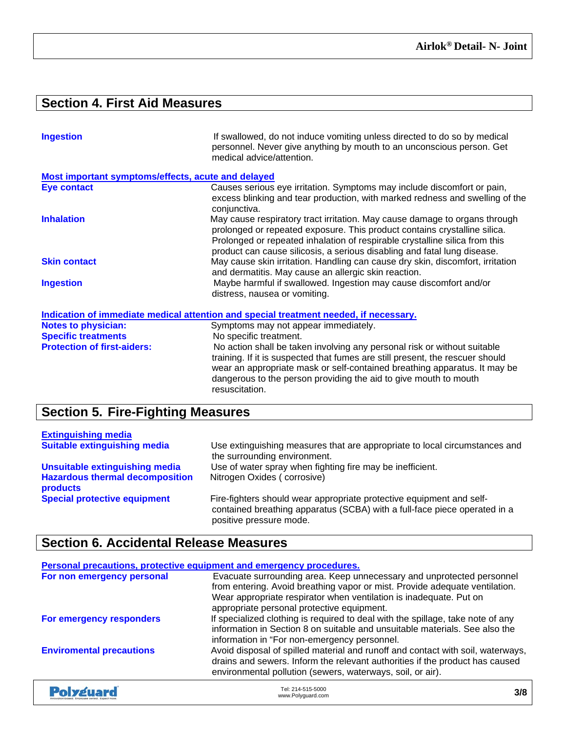## **Section 4. First Aid Measures**

| <b>Ingestion</b>                                   | If swallowed, do not induce vomiting unless directed to do so by medical<br>personnel. Never give anything by mouth to an unconscious person. Get<br>medical advice/attention.                                                                                                                                     |
|----------------------------------------------------|--------------------------------------------------------------------------------------------------------------------------------------------------------------------------------------------------------------------------------------------------------------------------------------------------------------------|
| Most important symptoms/effects, acute and delayed |                                                                                                                                                                                                                                                                                                                    |
| Eye contact                                        | Causes serious eye irritation. Symptoms may include discomfort or pain,<br>excess blinking and tear production, with marked redness and swelling of the<br>conjunctiva.                                                                                                                                            |
| <b>Inhalation</b>                                  | May cause respiratory tract irritation. May cause damage to organs through<br>prolonged or repeated exposure. This product contains crystalline silica.<br>Prolonged or repeated inhalation of respirable crystalline silica from this<br>product can cause silicosis, a serious disabling and fatal lung disease. |
| <b>Skin contact</b>                                | May cause skin irritation. Handling can cause dry skin, discomfort, irritation<br>and dermatitis. May cause an allergic skin reaction.                                                                                                                                                                             |
| <b>Ingestion</b>                                   | Maybe harmful if swallowed. Ingestion may cause discomfort and/or<br>distress, nausea or vomiting.                                                                                                                                                                                                                 |
|                                                    | Indication of immediate medical attention and special treatment needed, if necessary.                                                                                                                                                                                                                              |
| <b>Notes to physician:</b>                         | Symptoms may not appear immediately.                                                                                                                                                                                                                                                                               |
| <b>Specific treatments</b>                         | No specific treatment.                                                                                                                                                                                                                                                                                             |
| <b>Protection of first-aiders:</b>                 | No action shall be taken involving any personal risk or without suitable<br>training. If it is suspected that fumes are still present, the rescuer should<br>wear an appropriate mask or self-contained breathing apparatus. It may be<br>dangerous to the person providing the aid to give mouth to mouth         |

## **Section 5. Fire-Fighting Measures**

| <b>Extinguishing media</b>                         |                                                                                                                                                                              |
|----------------------------------------------------|------------------------------------------------------------------------------------------------------------------------------------------------------------------------------|
| <b>Suitable extinguishing media</b>                | Use extinguishing measures that are appropriate to local circumstances and<br>the surrounding environment.                                                                   |
| <b>Unsuitable extinguishing media</b>              | Use of water spray when fighting fire may be inefficient.                                                                                                                    |
| <b>Hazardous thermal decomposition</b><br>products | Nitrogen Oxides (corrosive)                                                                                                                                                  |
| <b>Special protective equipment</b>                | Fire-fighters should wear appropriate protective equipment and self-<br>contained breathing apparatus (SCBA) with a full-face piece operated in a<br>positive pressure mode. |

resuscitation.

### **Section 6. Accidental Release Measures**

| Personal precautions, protective equipment and emergency procedures. |                                                                                                                                                                                                                                                                          |     |
|----------------------------------------------------------------------|--------------------------------------------------------------------------------------------------------------------------------------------------------------------------------------------------------------------------------------------------------------------------|-----|
| For non emergency personal                                           | Evacuate surrounding area. Keep unnecessary and unprotected personnel<br>from entering. Avoid breathing vapor or mist. Provide adequate ventilation.<br>Wear appropriate respirator when ventilation is inadequate. Put on<br>appropriate personal protective equipment. |     |
| For emergency responders                                             | If specialized clothing is required to deal with the spillage, take note of any<br>information in Section 8 on suitable and unsuitable materials. See also the<br>information in "For non-emergency personnel.                                                           |     |
| <b>Enviromental precautions</b>                                      | Avoid disposal of spilled material and runoff and contact with soil, waterways,<br>drains and sewers. Inform the relevant authorities if the product has caused<br>environmental pollution (sewers, waterways, soil, or air).                                            |     |
| Polysuard                                                            | Tel: 214-515-5000<br>www.Polyguard.com                                                                                                                                                                                                                                   | 3/8 |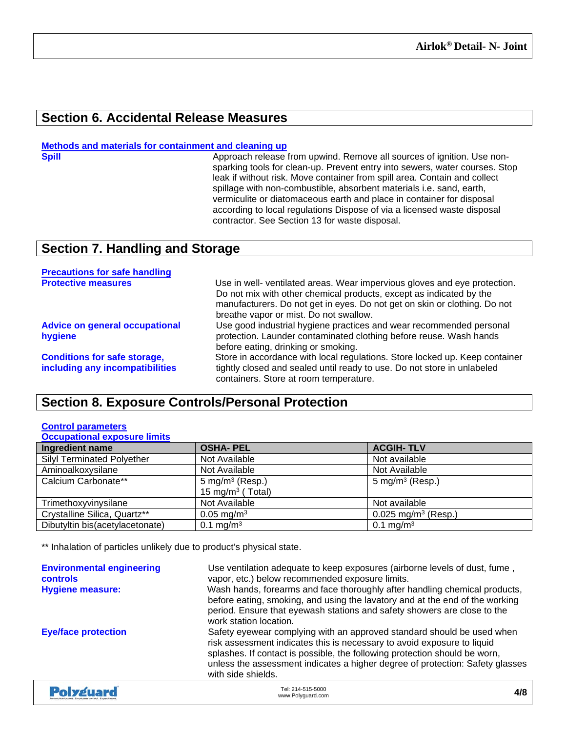### **Section 6. Accidental Release Measures**

### **Methods and materials for containment and cleaning up**

**Spill Approach release from upwind. Remove all sources of ignition. Use non**sparking tools for clean-up. Prevent entry into sewers, water courses. Stop leak if without risk. Move container from spill area. Contain and collect spillage with non-combustible, absorbent materials i.e. sand, earth, vermiculite or diatomaceous earth and place in container for disposal according to local regulations Dispose of via a licensed waste disposal contractor. See Section 13 for waste disposal.

### **Section 7. Handling and Storage**

| <b>Precautions for safe handling</b>                                   |                                                                                                                                                                                                                                                                         |
|------------------------------------------------------------------------|-------------------------------------------------------------------------------------------------------------------------------------------------------------------------------------------------------------------------------------------------------------------------|
| <b>Protective measures</b>                                             | Use in well- ventilated areas. Wear impervious gloves and eye protection.<br>Do not mix with other chemical products, except as indicated by the<br>manufacturers. Do not get in eyes. Do not get on skin or clothing. Do not<br>breathe vapor or mist. Do not swallow. |
| <b>Advice on general occupational</b><br>hygiene                       | Use good industrial hygiene practices and wear recommended personal<br>protection. Launder contaminated clothing before reuse. Wash hands<br>before eating, drinking or smoking.                                                                                        |
| <b>Conditions for safe storage,</b><br>including any incompatibilities | Store in accordance with local regulations. Store locked up. Keep container<br>tightly closed and sealed until ready to use. Do not store in unlabeled<br>containers. Store at room temperature.                                                                        |

### **Section 8. Exposure Controls/Personal Protection**

#### **Control parameters Occupational exposure limits**

| Ingredient name                   | <b>OSHA-PEL</b>                                             | <b>ACGIH-TLV</b>                |
|-----------------------------------|-------------------------------------------------------------|---------------------------------|
| <b>Silyl Terminated Polyether</b> | Not Available                                               | Not available                   |
| Aminoalkoxysilane                 | Not Available                                               | Not Available                   |
| Calcium Carbonate**               | 5 mg/m <sup>3</sup> (Resp.)<br>15 mg/m <sup>3</sup> (Total) | 5 mg/m <sup>3</sup> (Resp.)     |
| Trimethoxyvinysilane              | Not Available                                               | Not available                   |
| Crystalline Silica, Quartz**      | $0.05 \,\mathrm{mg/m^3}$                                    | 0.025 mg/m <sup>3</sup> (Resp.) |
| Dibutyltin bis(acetylacetonate)   | 0.1 mg/m <sup>3</sup>                                       | 0.1 mg/m <sup>3</sup>           |

\*\* Inhalation of particles unlikely due to product's physical state.

| <b>Environmental engineering</b><br><b>controls</b><br><b>Hygiene measure:</b> | Use ventilation adequate to keep exposures (airborne levels of dust, fume,<br>vapor, etc.) below recommended exposure limits.<br>Wash hands, forearms and face thoroughly after handling chemical products,<br>before eating, smoking, and using the lavatory and at the end of the working<br>period. Ensure that eyewash stations and safety showers are close to the<br>work station location. |
|--------------------------------------------------------------------------------|---------------------------------------------------------------------------------------------------------------------------------------------------------------------------------------------------------------------------------------------------------------------------------------------------------------------------------------------------------------------------------------------------|
| <b>Eye/face protection</b>                                                     | Safety eyewear complying with an approved standard should be used when<br>risk assessment indicates this is necessary to avoid exposure to liquid<br>splashes. If contact is possible, the following protection should be worn,<br>unless the assessment indicates a higher degree of protection: Safety glasses<br>with side shields.                                                            |
|                                                                                |                                                                                                                                                                                                                                                                                                                                                                                                   |

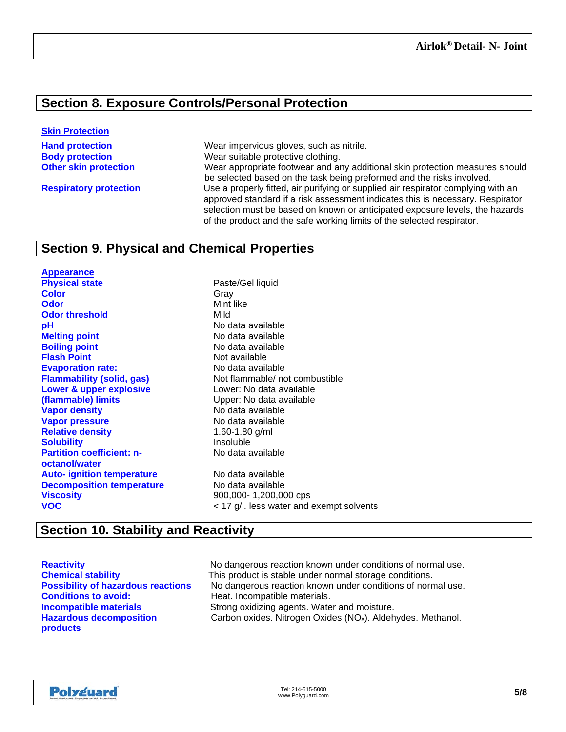### **Section 8. Exposure Controls/Personal Protection**

#### **Skin Protection**

**Hand protection** Wear impervious gloves, such as nitrile. **Body protection**<br> **Other skin protection**<br>
Wear appropriate footwear and a Wear appropriate footwear and any additional skin protection measures should be selected based on the task being preformed and the risks involved. **Respiratory protection** Use a properly fitted, air purifying or supplied air respirator complying with an approved standard if a risk assessment indicates this is necessary. Respirator selection must be based on known or anticipated exposure levels, the hazards of the product and the safe working limits of the selected respirator.

### **Section 9. Physical and Chemical Properties**

**Appearance Physical state Physical state Paste/Gel liquid Color** Gray **Odor** Mint like **Odor threshold** Mild **pH**<br> **pH** No data available<br> **Melting point**<br> **Melting point Boiling point**<br> **Boiling point**<br> **Elash Point**<br> **Not available Flash Point**<br> **Evaporation rate:**<br> **Evaporation rate:**<br> **No data available Evaporation rate: Lower & upper explosive (flammable) limits Vapor density**<br> **Vapor pressure**<br> **Vapor pressure Vapor pressure**<br> **Relative density**<br> **Relative density**<br> **Relative density**<br> **Relative density Relative density Solubility Insoluble Partition coefficient: noctanol/water Auto- ignition temperature** No data available **Decomposition temperature** No data available **Viscosity** 900,000-1,200,000 cps **VOC** < 17 g/l. less water and exempt solvents

**Melting point** No data available **Flammability (solid, gas)** Not flammable/ not combustible Lower: No data available Upper: No data available No data available

### **Section 10. Stability and Reactivity**

**Hazardous decomposition products**

**Reactivity Reactivity** No dangerous reaction known under conditions of normal use.<br> **Chemical stability** This product is stable under normal storage conditions. This product is stable under normal storage conditions. **Possibility of hazardous reactions** No dangerous reaction known under conditions of normal use.<br> **Conditions to avoid:** Formation of Heat. Incompatible materials. Heat. Incompatible materials. **Incompatible materials Strong oxidizing agents. Water and moisture.** Carbon oxides. Nitrogen Oxides (NOx). Aldehydes. Methanol.

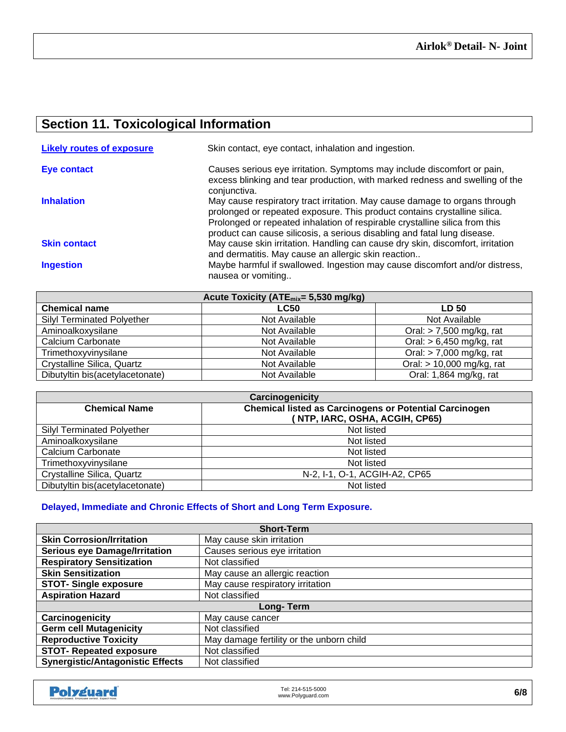## **Section 11. Toxicological Information**

| <b>Likely routes of exposure</b> | Skin contact, eye contact, inhalation and ingestion.                                                                                                                                                                                                                                                               |
|----------------------------------|--------------------------------------------------------------------------------------------------------------------------------------------------------------------------------------------------------------------------------------------------------------------------------------------------------------------|
| Eye contact                      | Causes serious eye irritation. Symptoms may include discomfort or pain,<br>excess blinking and tear production, with marked redness and swelling of the<br>conjunctiva.                                                                                                                                            |
| <b>Inhalation</b>                | May cause respiratory tract irritation. May cause damage to organs through<br>prolonged or repeated exposure. This product contains crystalline silica.<br>Prolonged or repeated inhalation of respirable crystalline silica from this<br>product can cause silicosis, a serious disabling and fatal lung disease. |
| <b>Skin contact</b>              | May cause skin irritation. Handling can cause dry skin, discomfort, irritation<br>and dermatitis. May cause an allergic skin reaction                                                                                                                                                                              |
| <b>Ingestion</b>                 | Maybe harmful if swallowed. Ingestion may cause discomfort and/or distress,<br>nausea or vomiting                                                                                                                                                                                                                  |

| Acute Toxicity (ATE <sub>mix</sub> = 5,530 mg/kg) |               |                            |
|---------------------------------------------------|---------------|----------------------------|
| <b>Chemical name</b>                              | <b>LC50</b>   | <b>LD 50</b>               |
| <b>Silyl Terminated Polyether</b>                 | Not Available | Not Available              |
| Aminoalkoxysilane                                 | Not Available | Oral: $> 7,500$ mg/kg, rat |
| Calcium Carbonate                                 | Not Available | Oral: $> 6,450$ mg/kg, rat |
| Trimethoxyvinysilane                              | Not Available | Oral: $> 7,000$ mg/kg, rat |
| Crystalline Silica, Quartz                        | Not Available | Oral: > 10,000 mg/kg, rat  |
| Dibutyltin bis(acetylacetonate)                   | Not Available | Oral: 1,864 mg/kg, rat     |

| Carcinogenicity                   |                                                               |  |
|-----------------------------------|---------------------------------------------------------------|--|
| <b>Chemical Name</b>              | <b>Chemical listed as Carcinogens or Potential Carcinogen</b> |  |
|                                   | (NTP, IARC, OSHA, ACGIH, CP65)                                |  |
| <b>Silyl Terminated Polyether</b> | Not listed                                                    |  |
| Aminoalkoxysilane                 | Not listed                                                    |  |
| Calcium Carbonate                 | Not listed                                                    |  |
| Trimethoxyvinysilane              | Not listed                                                    |  |
| Crystalline Silica, Quartz        | N-2, I-1, O-1, ACGIH-A2, CP65                                 |  |
| Dibutyltin bis(acetylacetonate)   | Not listed                                                    |  |

### **Delayed, Immediate and Chronic Effects of Short and Long Term Exposure.**

| <b>Short-Term</b>                       |                                          |
|-----------------------------------------|------------------------------------------|
| <b>Skin Corrosion/Irritation</b>        | May cause skin irritation                |
| <b>Serious eye Damage/Irritation</b>    | Causes serious eye irritation            |
| <b>Respiratory Sensitization</b>        | Not classified                           |
| <b>Skin Sensitization</b>               | May cause an allergic reaction           |
| <b>STOT-Single exposure</b>             | May cause respiratory irritation         |
| <b>Aspiration Hazard</b>                | Not classified                           |
| Long-Term                               |                                          |
| Carcinogenicity                         | May cause cancer                         |
| <b>Germ cell Mutagenicity</b>           | Not classified                           |
| <b>Reproductive Toxicity</b>            | May damage fertility or the unborn child |
| <b>STOT- Repeated exposure</b>          | Not classified                           |
| <b>Synergistic/Antagonistic Effects</b> | Not classified                           |

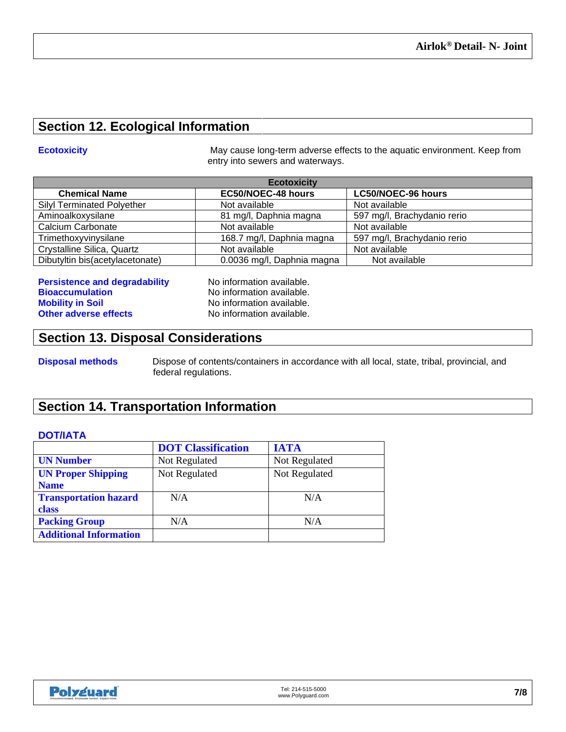### **Section 12. Ecological Information**

**Ecotoxicity Example 20 Interval 20 Increment May cause long-term adverse effects to the aquatic environment. Keep from** entry into sewers and waterways.

| <b>Ecotoxicity</b>                |                            |                             |
|-----------------------------------|----------------------------|-----------------------------|
| <b>Chemical Name</b>              | EC50/NOEC-48 hours         | LC50/NOEC-96 hours          |
| <b>Silyl Terminated Polyether</b> | Not available              | Not available               |
| Aminoalkoxysilane                 | 81 mg/l, Daphnia magna     | 597 mg/l, Brachydanio rerio |
| Calcium Carbonate                 | Not available              | Not available               |
| Trimethoxyvinysilane              | 168.7 mg/l, Daphnia magna  | 597 mg/l, Brachydanio rerio |
| Crystalline Silica, Quartz        | Not available              | Not available               |
| Dibutyltin bis(acetylacetonate)   | 0.0036 mg/l, Daphnia magna | Not available               |

**Persistence and degradability** No information available. **Bioaccumulation**<br> **Bioaccumulation**<br> **Monomiation Available.**<br>
No information available. **Other adverse effects** 

No information available.<br>
No information available.

### **Section 13. Disposal Considerations**

**Disposal methods** Dispose of contents/containers in accordance with all local, state, tribal, provincial, and federal regulations.

### **Section 14. Transportation Information**

### **DOT/IATA**

|                               | <b>DOT</b> Classification | <b>IATA</b>   |
|-------------------------------|---------------------------|---------------|
| <b>UN Number</b>              | Not Regulated             | Not Regulated |
| <b>UN Proper Shipping</b>     | Not Regulated             | Not Regulated |
| <b>Name</b>                   |                           |               |
| <b>Transportation hazard</b>  | N/A                       | N/A           |
| <b>class</b>                  |                           |               |
| <b>Packing Group</b>          | N/A                       | N/A           |
| <b>Additional Information</b> |                           |               |